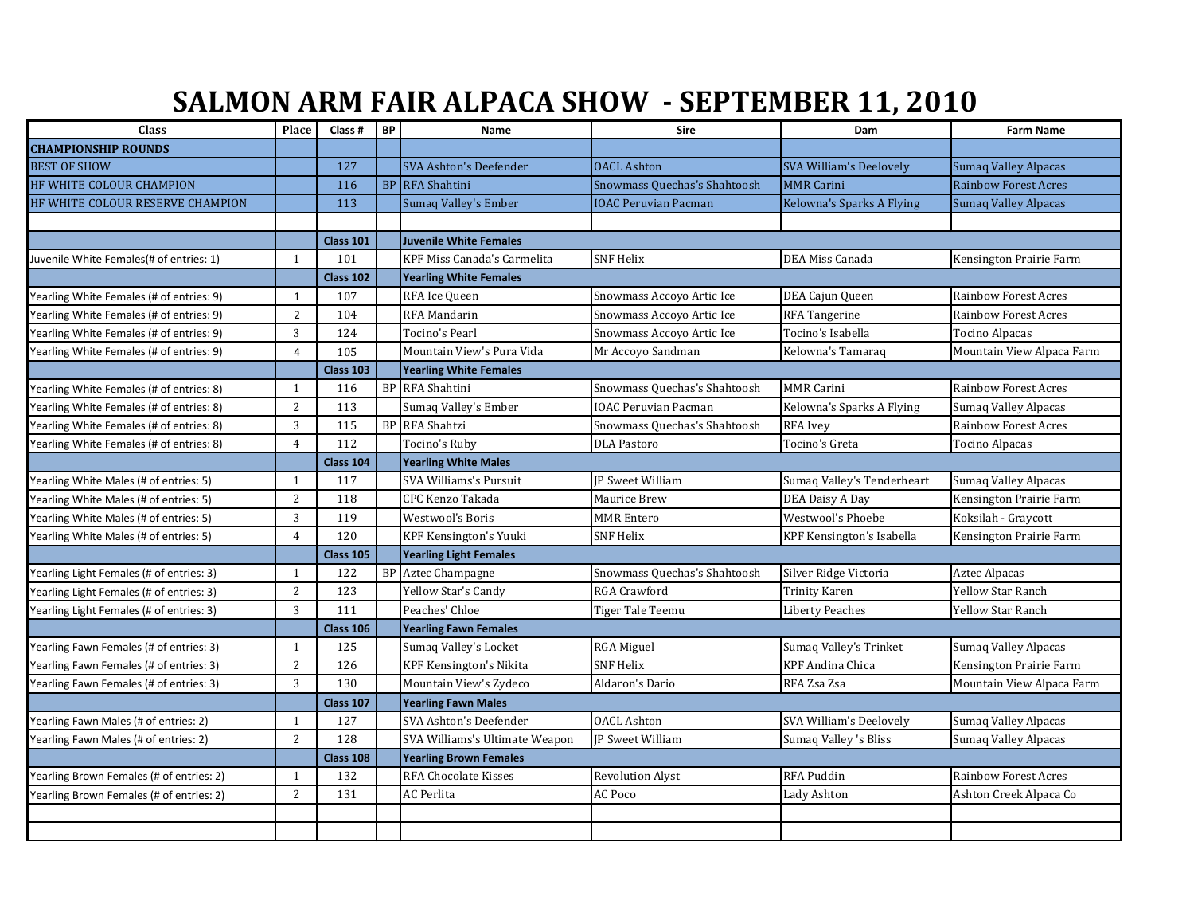## **SALMON ARM FAIR ALPACA SHOW - SEPTEMBER 11, 2010**

| <b>Class</b>                             | Place          | Class #          | <b>BP</b> | Name                           | Sire                         | Dam                            | <b>Farm Name</b>            |  |
|------------------------------------------|----------------|------------------|-----------|--------------------------------|------------------------------|--------------------------------|-----------------------------|--|
| <b>CHAMPIONSHIP ROUNDS</b>               |                |                  |           |                                |                              |                                |                             |  |
| <b>BEST OF SHOW</b>                      |                | 127              |           | <b>SVA Ashton's Deefender</b>  | <b>OACL Ashton</b>           | <b>SVA William's Deelovely</b> | <b>Sumaq Valley Alpacas</b> |  |
| HF WHITE COLOUR CHAMPION                 |                | 116              |           | <b>BP</b> RFA Shahtini         | Snowmass Quechas's Shahtoosh | <b>MMR Carini</b>              | <b>Rainbow Forest Acres</b> |  |
| HF WHITE COLOUR RESERVE CHAMPION         |                | 113              |           | Sumaq Valley's Ember           | <b>IOAC Peruvian Pacman</b>  | Kelowna's Sparks A Flying      | <b>Sumaq Valley Alpacas</b> |  |
|                                          |                |                  |           |                                |                              |                                |                             |  |
|                                          |                | <b>Class 101</b> |           | <b>Juvenile White Females</b>  |                              |                                |                             |  |
| Juvenile White Females (# of entries: 1) | $\mathbf{1}$   | 101              |           | KPF Miss Canada's Carmelita    | <b>SNF Helix</b>             | DEA Miss Canada                | Kensington Prairie Farm     |  |
|                                          |                | Class 102        |           | <b>Yearling White Females</b>  |                              |                                |                             |  |
| Yearling White Females (# of entries: 9) | $\mathbf{1}$   | 107              |           | RFA Ice Queen                  | Snowmass Accoyo Artic Ice    | DEA Cajun Queen                | <b>Rainbow Forest Acres</b> |  |
| Yearling White Females (# of entries: 9) | $\overline{2}$ | 104              |           | RFA Mandarin                   | Snowmass Accoyo Artic Ice    | <b>RFA</b> Tangerine           | <b>Rainbow Forest Acres</b> |  |
| Yearling White Females (# of entries: 9) | 3              | 124              |           | Tocino's Pearl                 | Snowmass Accoyo Artic Ice    | Tocino's Isabella              | Tocino Alpacas              |  |
| Yearling White Females (# of entries: 9) | $\overline{a}$ | 105              |           | Mountain View's Pura Vida      | Mr Accoyo Sandman            | Kelowna's Tamaraq              | Mountain View Alpaca Farm   |  |
|                                          |                | <b>Class 103</b> |           | <b>Yearling White Females</b>  |                              |                                |                             |  |
| Yearling White Females (# of entries: 8) | 1              | 116              |           | <b>BP</b> RFA Shahtini         | Snowmass Quechas's Shahtoosh | <b>MMR Carini</b>              | <b>Rainbow Forest Acres</b> |  |
| Yearling White Females (# of entries: 8) | 2              | 113              |           | Sumaq Valley's Ember           | IOAC Peruvian Pacman         | Kelowna's Sparks A Flying      | Sumaq Valley Alpacas        |  |
| Yearling White Females (# of entries: 8) | 3              | 115              |           | <b>BP</b> RFA Shahtzi          | Snowmass Quechas's Shahtoosh | RFA Ivey                       | <b>Rainbow Forest Acres</b> |  |
| Yearling White Females (# of entries: 8) | $\overline{4}$ | 112              |           | Tocino's Ruby                  | <b>DLA Pastoro</b>           | Tocino's Greta                 | <b>Tocino Alpacas</b>       |  |
|                                          |                | Class 104        |           | <b>Yearling White Males</b>    |                              |                                |                             |  |
| Yearling White Males (# of entries: 5)   | $\mathbf{1}$   | 117              |           | SVA Williams's Pursuit         | <b>IP Sweet William</b>      | Sumaq Valley's Tenderheart     | Sumaq Valley Alpacas        |  |
| Yearling White Males (# of entries: 5)   | $\overline{2}$ | 118              |           | CPC Kenzo Takada               | Maurice Brew                 | DEA Daisy A Day                | Kensington Prairie Farm     |  |
| Yearling White Males (# of entries: 5)   | 3              | 119              |           | Westwool's Boris               | <b>MMR Entero</b>            | Westwool's Phoebe              | Koksilah - Graycott         |  |
| Yearling White Males (# of entries: 5)   | $\overline{4}$ | 120              |           | KPF Kensington's Yuuki         | <b>SNF Helix</b>             | KPF Kensington's Isabella      | Kensington Prairie Farm     |  |
|                                          |                | <b>Class 105</b> |           | <b>Yearling Light Females</b>  |                              |                                |                             |  |
| Yearling Light Females (# of entries: 3) | $\mathbf{1}$   | 122              |           | <b>BP</b> Aztec Champagne      | Snowmass Quechas's Shahtoosh | Silver Ridge Victoria          | <b>Aztec Alpacas</b>        |  |
| Yearling Light Females (# of entries: 3) | 2              | 123              |           | Yellow Star's Candy            | <b>RGA Crawford</b>          | <b>Trinity Karen</b>           | <b>Yellow Star Ranch</b>    |  |
| Yearling Light Females (# of entries: 3) | 3              | 111              |           | Peaches' Chloe                 | Tiger Tale Teemu             | Liberty Peaches                | Yellow Star Ranch           |  |
|                                          |                | Class 106        |           | <b>Yearling Fawn Females</b>   |                              |                                |                             |  |
| Yearling Fawn Females (# of entries: 3)  | $\mathbf{1}$   | 125              |           | Sumaq Valley's Locket          | RGA Miguel                   | Sumaq Valley's Trinket         | Sumaq Valley Alpacas        |  |
| Yearling Fawn Females (# of entries: 3)  | $\overline{2}$ | 126              |           | <b>KPF Kensington's Nikita</b> | <b>SNF</b> Helix             | <b>KPF Andina Chica</b>        | Kensington Prairie Farm     |  |
| Yearling Fawn Females (# of entries: 3)  | 3              | 130              |           | Mountain View's Zydeco         | Aldaron's Dario              | RFA Zsa Zsa                    | Mountain View Alpaca Farm   |  |
|                                          |                | Class 107        |           | <b>Yearling Fawn Males</b>     |                              |                                |                             |  |
| Yearling Fawn Males (# of entries: 2)    | 1              | 127              |           | SVA Ashton's Deefender         | <b>OACL Ashton</b>           | SVA William's Deelovely        | Sumaq Valley Alpacas        |  |
| Yearling Fawn Males (# of entries: 2)    | $\overline{2}$ | 128              |           | SVA Williams's Ultimate Weapon | <b>IP Sweet William</b>      | Sumaq Valley 's Bliss          | Sumaq Valley Alpacas        |  |
|                                          |                | Class 108        |           | <b>Yearling Brown Females</b>  |                              |                                |                             |  |
| Yearling Brown Females (# of entries: 2) | 1              | 132              |           | <b>RFA Chocolate Kisses</b>    | <b>Revolution Alyst</b>      | <b>RFA Puddin</b>              | <b>Rainbow Forest Acres</b> |  |
| Yearling Brown Females (# of entries: 2) | 2              | 131              |           | AC Perlita                     | AC Poco                      | Lady Ashton                    | Ashton Creek Alpaca Co      |  |
|                                          |                |                  |           |                                |                              |                                |                             |  |
|                                          |                |                  |           |                                |                              |                                |                             |  |